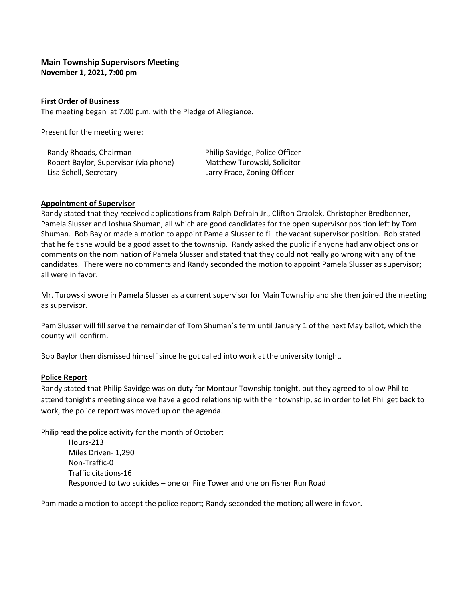# **Main Township Supervisors Meeting November 1, 2021, 7:00 pm**

### **First Order of Business**

The meeting began at 7:00 p.m. with the Pledge of Allegiance.

Present for the meeting were:

| Randy Rhoads, Chairman                | Philip Savidge, Police Officer |
|---------------------------------------|--------------------------------|
| Robert Baylor, Supervisor (via phone) | Matthew Turowski, Solicitor    |
| Lisa Schell, Secretary                | Larry Frace, Zoning Officer    |

### **Appointment of Supervisor**

Randy stated that they received applications from Ralph Defrain Jr., Clifton Orzolek, Christopher Bredbenner, Pamela Slusser and Joshua Shuman, all which are good candidates for the open supervisor position left by Tom Shuman. Bob Baylor made a motion to appoint Pamela Slusser to fill the vacant supervisor position. Bob stated that he felt she would be a good asset to the township. Randy asked the public if anyone had any objections or comments on the nomination of Pamela Slusser and stated that they could not really go wrong with any of the candidates. There were no comments and Randy seconded the motion to appoint Pamela Slusser as supervisor; all were in favor.

Mr. Turowski swore in Pamela Slusser as a current supervisor for Main Township and she then joined the meeting as supervisor.

Pam Slusser will fill serve the remainder of Tom Shuman's term until January 1 of the next May ballot, which the county will confirm.

Bob Baylor then dismissed himself since he got called into work at the university tonight.

## **Police Report**

Randy stated that Philip Savidge was on duty for Montour Township tonight, but they agreed to allow Phil to attend tonight's meeting since we have a good relationship with their township, so in order to let Phil get back to work, the police report was moved up on the agenda.

Philip read the police activity for the month of October:

Hours-213 Miles Driven- 1,290 Non-Traffic-0 Traffic citations-16 Responded to two suicides – one on Fire Tower and one on Fisher Run Road

Pam made a motion to accept the police report; Randy seconded the motion; all were in favor.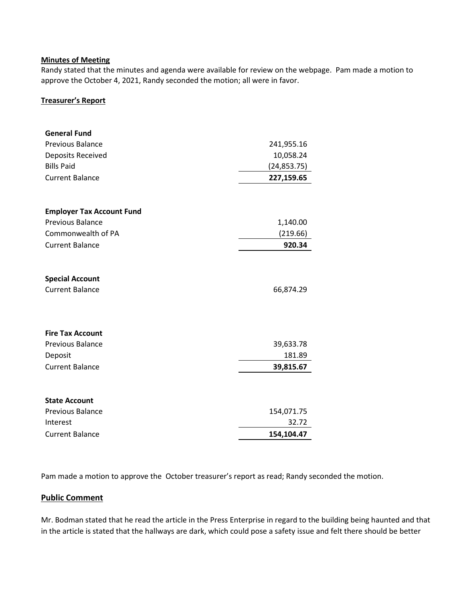### **Minutes of Meeting**

Randy stated that the minutes and agenda were available for review on the webpage. Pam made a motion to approve the October 4, 2021, Randy seconded the motion; all were in favor.

### **Treasurer's Report**

| <b>General Fund</b>                              |              |
|--------------------------------------------------|--------------|
| Previous Balance                                 | 241,955.16   |
| Deposits Received                                | 10,058.24    |
| <b>Bills Paid</b>                                | (24, 853.75) |
| <b>Current Balance</b>                           | 227,159.65   |
|                                                  |              |
| <b>Employer Tax Account Fund</b>                 |              |
| <b>Previous Balance</b>                          | 1,140.00     |
| Commonwealth of PA                               | (219.66)     |
| <b>Current Balance</b>                           | 920.34       |
| <b>Special Account</b><br><b>Current Balance</b> | 66,874.29    |
| <b>Fire Tax Account</b>                          |              |
| <b>Previous Balance</b>                          | 39,633.78    |
| Deposit                                          | 181.89       |
| <b>Current Balance</b>                           | 39,815.67    |
| <b>State Account</b>                             |              |
| Previous Balance                                 | 154,071.75   |
| Interest                                         | 32.72        |
| <b>Current Balance</b>                           | 154,104.47   |

Pam made a motion to approve the October treasurer's report as read; Randy seconded the motion.

## **Public Comment**

Mr. Bodman stated that he read the article in the Press Enterprise in regard to the building being haunted and that in the article is stated that the hallways are dark, which could pose a safety issue and felt there should be better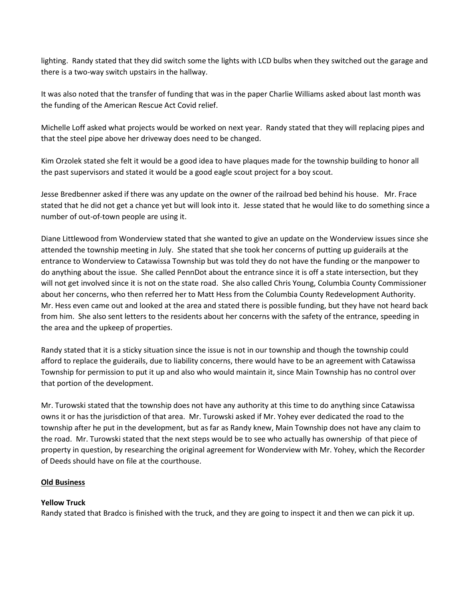lighting. Randy stated that they did switch some the lights with LCD bulbs when they switched out the garage and there is a two-way switch upstairs in the hallway.

It was also noted that the transfer of funding that was in the paper Charlie Williams asked about last month was the funding of the American Rescue Act Covid relief.

Michelle Loff asked what projects would be worked on next year. Randy stated that they will replacing pipes and that the steel pipe above her driveway does need to be changed.

Kim Orzolek stated she felt it would be a good idea to have plaques made for the township building to honor all the past supervisors and stated it would be a good eagle scout project for a boy scout.

Jesse Bredbenner asked if there was any update on the owner of the railroad bed behind his house. Mr. Frace stated that he did not get a chance yet but will look into it. Jesse stated that he would like to do something since a number of out-of-town people are using it.

Diane Littlewood from Wonderview stated that she wanted to give an update on the Wonderview issues since she attended the township meeting in July. She stated that she took her concerns of putting up guiderails at the entrance to Wonderview to Catawissa Township but was told they do not have the funding or the manpower to do anything about the issue. She called PennDot about the entrance since it is off a state intersection, but they will not get involved since it is not on the state road. She also called Chris Young, Columbia County Commissioner about her concerns, who then referred her to Matt Hess from the Columbia County Redevelopment Authority. Mr. Hess even came out and looked at the area and stated there is possible funding, but they have not heard back from him. She also sent letters to the residents about her concerns with the safety of the entrance, speeding in the area and the upkeep of properties.

Randy stated that it is a sticky situation since the issue is not in our township and though the township could afford to replace the guiderails, due to liability concerns, there would have to be an agreement with Catawissa Township for permission to put it up and also who would maintain it, since Main Township has no control over that portion of the development.

Mr. Turowski stated that the township does not have any authority at this time to do anything since Catawissa owns it or has the jurisdiction of that area. Mr. Turowski asked if Mr. Yohey ever dedicated the road to the township after he put in the development, but as far as Randy knew, Main Township does not have any claim to the road. Mr. Turowski stated that the next steps would be to see who actually has ownership of that piece of property in question, by researching the original agreement for Wonderview with Mr. Yohey, which the Recorder of Deeds should have on file at the courthouse.

## **Old Business**

## **Yellow Truck**

Randy stated that Bradco is finished with the truck, and they are going to inspect it and then we can pick it up.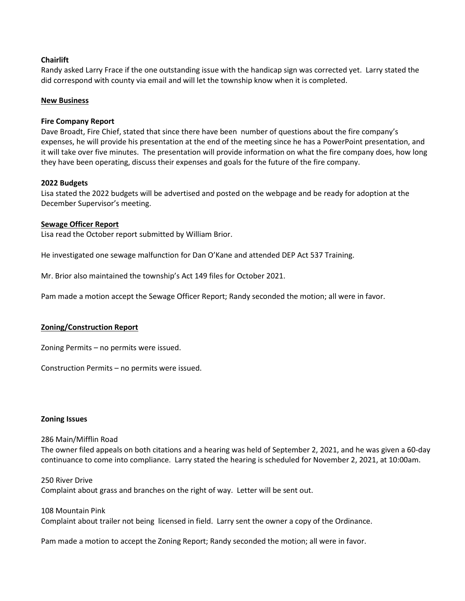### **Chairlift**

Randy asked Larry Frace if the one outstanding issue with the handicap sign was corrected yet. Larry stated the did correspond with county via email and will let the township know when it is completed.

#### **New Business**

#### **Fire Company Report**

Dave Broadt, Fire Chief, stated that since there have been number of questions about the fire company's expenses, he will provide his presentation at the end of the meeting since he has a PowerPoint presentation, and it will take over five minutes. The presentation will provide information on what the fire company does, how long they have been operating, discuss their expenses and goals for the future of the fire company.

### **2022 Budgets**

Lisa stated the 2022 budgets will be advertised and posted on the webpage and be ready for adoption at the December Supervisor's meeting.

### **Sewage Officer Report**

Lisa read the October report submitted by William Brior.

He investigated one sewage malfunction for Dan O'Kane and attended DEP Act 537 Training.

Mr. Brior also maintained the township's Act 149 files for October 2021.

Pam made a motion accept the Sewage Officer Report; Randy seconded the motion; all were in favor.

## **Zoning/Construction Report**

Zoning Permits – no permits were issued.

Construction Permits – no permits were issued.

#### **Zoning Issues**

286 Main/Mifflin Road

The owner filed appeals on both citations and a hearing was held of September 2, 2021, and he was given a 60-day continuance to come into compliance. Larry stated the hearing is scheduled for November 2, 2021, at 10:00am.

250 River Drive Complaint about grass and branches on the right of way. Letter will be sent out.

108 Mountain Pink Complaint about trailer not being licensed in field. Larry sent the owner a copy of the Ordinance.

Pam made a motion to accept the Zoning Report; Randy seconded the motion; all were in favor.